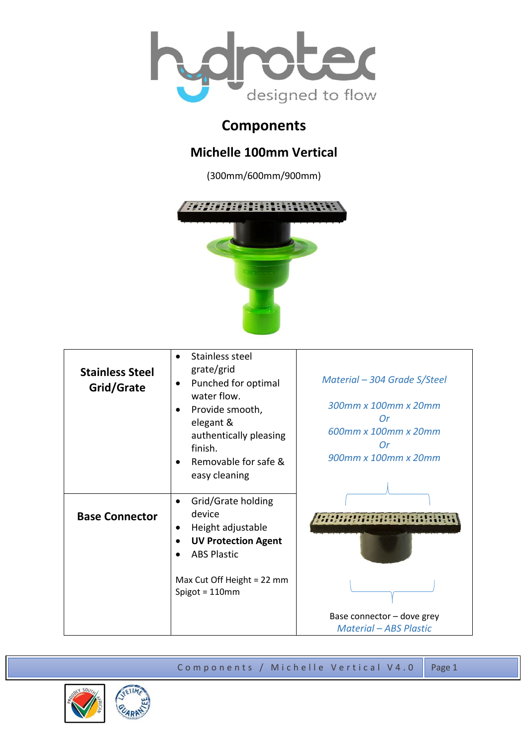

## **Components**

## **Michelle 100mm Vertical**

(300mm/600mm/900mm)



| <b>Stainless Steel</b><br>Grid/Grate | Stainless steel<br>$\bullet$<br>grate/grid<br>Punched for optimal<br>$\bullet$<br>water flow.<br>Provide smooth,<br>elegant &<br>authentically pleasing<br>finish.<br>Removable for safe &<br>easy cleaning | Material – 304 Grade S/Steel<br>300mm x 100mm x 20mm<br>Or<br>600mm x 100mm x 20mm<br>Or<br>900mm x 100mm x 20mm |
|--------------------------------------|-------------------------------------------------------------------------------------------------------------------------------------------------------------------------------------------------------------|------------------------------------------------------------------------------------------------------------------|
| <b>Base Connector</b>                | Grid/Grate holding<br>$\bullet$<br>device<br>Height adjustable<br>٠<br><b>UV Protection Agent</b><br><b>ABS Plastic</b><br>Max Cut Off Height = 22 mm<br>Spigot = $110$ mm                                  |                                                                                                                  |
|                                      |                                                                                                                                                                                                             | Base connector - dove grey<br><b>Material - ABS Plastic</b>                                                      |